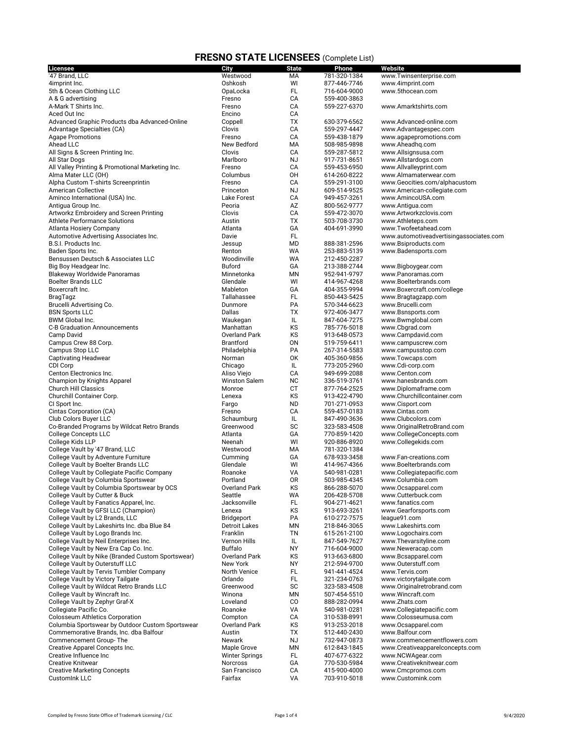| <b>Licensee</b>                                   | City                  | <b>State</b>    | Phone                        | Website                                 |
|---------------------------------------------------|-----------------------|-----------------|------------------------------|-----------------------------------------|
| '47 Brand. LLC                                    | Westwood              | МA              | 781-320-1384                 | www.Twinsenterprise.com                 |
| 4imprint Inc.                                     | Oshkosh               | WI              | 877-446-7746                 | www.4imprint.com                        |
| 5th & Ocean Clothing LLC                          | OpaLocka              | FL              | 716-604-9000                 | www.5thocean.com                        |
| A & G advertising                                 | Fresno                | CA              | 559-400-3863                 |                                         |
| A-Mark T Shirts Inc.                              | Fresno                | CA              | 559-227-6370                 | www.Amarktshirts.com                    |
| Aced Out Inc                                      | Encino                | CA              |                              |                                         |
| Advanced Graphic Products dba Advanced-Online     | Coppell               | ТX              | 630-379-6562                 | www.Advanced-online.com                 |
| Advantage Specialties (CA)                        | Clovis                | CA              | 559-297-4447                 | www.Advantagespec.com                   |
| <b>Agape Promotions</b>                           | Fresno                | CA              | 559-438-1879                 | www.agapepromotions.com                 |
| Ahead LLC                                         | New Bedford           | МA              | 508-985-9898                 | www.Aheadhg.com                         |
| All Signs & Screen Printing Inc.                  | Clovis                | CA              | 559-287-5812                 | www.Allsignsusa.com                     |
| All Star Dogs                                     | Marlboro              | <b>NJ</b>       | 917-731-8651                 | www.Allstardogs.com                     |
| All Valley Printing & Promotional Marketing Inc.  | Fresno                | СA              | 559-453-6950                 | www.Allvalleyprint.com                  |
| Alma Mater LLC (OH)                               | Columbus              | 0H              | 614-260-8222                 | www.Almamaterwear.com                   |
| Alpha Custom T-shirts Screenprintin               | Fresno                | CA              | 559-291-3100                 | www.Geocities.com/alphacustom           |
| <b>American Collective</b>                        | Princeton             | <b>NJ</b>       | 609-514-9525                 | www.American-collegiate.com             |
| Aminco International (USA) Inc.                   | <b>Lake Forest</b>    | CA              | 949-457-3261                 | www.AmincoUSA.com                       |
| Antigua Group Inc.                                | Peoria                | AZ              | 800-562-9777                 | www.Antigua.com                         |
| Artworkz Embroidery and Screen Printing           | Clovis                | CA              | 559-472-3070                 | www.Artworkzclovis.com                  |
| <b>Athlete Performance Solutions</b>              | Austin                | ТX              | 503-708-3730                 | www.Athleteps.com                       |
| Atlanta Hosiery Company                           | Atlanta               | GA              | 404-691-3990                 | www.Twofeetahead.com                    |
| Automotive Advertising Associates Inc.            | Davie                 | FL              |                              | www.automotiveadvertisingassociates.com |
| B.S.I. Products Inc.                              | Jessup                | MD              | 888-381-2596                 | www.Bsiproducts.com                     |
| Baden Sports Inc.                                 | Renton                | WA              | 253-883-5139                 | www.Badensports.com                     |
| Bensussen Deutsch & Associates LLC                | Woodinville           | WA              | 212-450-2287                 |                                         |
| Big Boy Headgear Inc.                             | <b>Buford</b>         | GA              | 213-388-2744                 | www.Bigboygear.com                      |
| Blakeway Worldwide Panoramas                      | Minnetonka            | MN              | 952-941-9797                 | www.Panoramas.com                       |
| <b>Boelter Brands LLC</b>                         | Glendale              | WI              | 414-967-4268                 | www.Boelterbrands.com                   |
| Boxercraft Inc.                                   | Mableton              | GA              | 404-355-9994                 | www.Boxercraft.com/college              |
| BragTagz                                          | Tallahassee           | FL              | 850-443-5425                 | www.Bragtagzapp.com                     |
| Brucelli Advertising Co.                          | Dunmore               | PA              | 570-344-6623                 | www.Brucelli.com                        |
| <b>BSN Sports LLC</b>                             | Dallas                | TX              | 972-406-3477                 | www.Bsnsports.com                       |
| <b>BWM Global Inc.</b>                            | Waukegan              | IL              | 847-604-7275                 | www.Bwmglobal.com                       |
| C-B Graduation Announcements                      | Manhattan             | ΚS              | 785-776-5018                 | www.Cbgrad.com                          |
| Camp David                                        | <b>Overland Park</b>  | ΚS              | 913-648-0573                 | www.Campdavid.com                       |
| Campus Crew 88 Corp.                              | <b>Brantford</b>      | ON              | 519-759-6411                 | www.campuscrew.com                      |
| Campus Stop LLC                                   | Philadelphia          | PA              | 267-314-5583                 | www.campusstop.com                      |
| <b>Captivating Headwear</b>                       | Norman                | OK              | 405-360-9856                 | www.Towcaps.com                         |
| CDI Corp                                          | Chicago               | IL              | 773-205-2960                 | www.Cdi-corp.com                        |
| Centon Electronics Inc.                           | Aliso Viejo           | CA              | 949-699-2088                 | www.Centon.com                          |
| Champion by Knights Apparel                       | <b>Winston Salem</b>  | <b>NC</b>       | 336-519-3761                 | www.hanesbrands.com                     |
| <b>Church Hill Classics</b>                       | Monroe                | СT              | 877-764-2525                 | www.Diplomaframe.com                    |
| Churchill Container Corp.                         | Lenexa                | KS              | 913-422-4790                 | www.Churchillcontainer.com              |
| CI Sport Inc.                                     | Fargo                 | <b>ND</b><br>CA | 701-271-0953                 | www.Cisport.com<br>www.Cintas.com       |
| Cintas Corporation (CA)<br>Club Colors Buyer LLC  | Fresno<br>Schaumburg  | IL              | 559-457-0183<br>847-490-3636 | www.Clubcolors.com                      |
| Co-Branded Programs by Wildcat Retro Brands       | Greenwood             | SC              | 323-583-4508                 | www.OriginalRetroBrand.com              |
| <b>College Concepts LLC</b>                       | Atlanta               | GA              | 770-859-1420                 | www.CollegeConcepts.com                 |
| College Kids LLP                                  | Neenah                | WI              | 920-886-8920                 | www.Collegekids.com                     |
| College Vault by '47 Brand, LLC                   | Westwood              | МA              | 781-320-1384                 |                                         |
| College Vault by Adventure Furniture              | Cumming               | GА              | 678-933-3458                 | www.Fan-creations.com                   |
| College Vault by Boelter Brands LLC               | Glendale              | WI              | 414-967-4366                 | www.Boelterbrands.com                   |
| College Vault by Collegiate Pacific Company       | Roanoke               | VA              | 540-981-0281                 | www.Collegiatepacific.com               |
| College Vault by Columbia Sportswear              | Portland              | 0R              | 503-985-4345                 | www.Columbia.com                        |
| College Vault by Columbia Sportswear by OCS       | <b>Overland Park</b>  | KS              | 866-288-5070                 | www.Ocsapparel.com                      |
| College Vault by Cutter & Buck                    | Seattle               | WA              | 206-428-5708                 | www.Cutterbuck.com                      |
| College Vault by Fanatics Apparel, Inc.           | Jacksonville          | FL              | 904-271-4621                 | www.fanatics.com                        |
| College Vault by GFSI LLC (Champion)              | Lenexa                | ΚS              | 913-693-3261                 | www.Gearforsports.com                   |
| College Vault by L2 Brands, LLC                   | Bridgeport            | PA              | 610-272-7575                 | league91.com                            |
| College Vault by Lakeshirts Inc. dba Blue 84      | <b>Detroit Lakes</b>  | ΜN              | 218-846-3065                 | www.Lakeshirts.com                      |
| College Vault by Logo Brands Inc.                 | Franklin              | TN              | 615-261-2100                 | www.Logochairs.com                      |
| College Vault by Neil Enterprises Inc.            | Vernon Hills          | IL              | 847-549-7627                 | www.Thevarsityline.com                  |
| College Vault by New Era Cap Co. Inc.             | <b>Buffalo</b>        | <b>NY</b>       | 716-604-9000                 | www.Neweracap.com                       |
| College Vault by Nike (Branded Custom Sportswear) | Overland Park         | KS              | 913-663-6800                 | www.Bcsapparel.com                      |
| College Vault by Outerstuff LLC                   | New York              | <b>NY</b>       | 212-594-9700                 | www.Outerstuff.com                      |
| College Vault by Tervis Tumbler Company           | <b>North Venice</b>   | FL              | 941-441-4524                 | www.Tervis.com                          |
| College Vault by Victory Tailgate                 | Orlando               | FL.             | 321-234-0763                 | www.victorytailgate.com                 |
| College Vault by Wildcat Retro Brands LLC         | Greenwood             | SC              | 323-583-4508                 | www.Originalretrobrand.com              |
| College Vault by Wincraft Inc.                    | Winona                | MN              | 507-454-5510                 | www.Wincraft.com                        |
| College Vault by Zephyr Graf-X                    | Loveland              | CO              | 888-282-0994                 | www.Zhats.com                           |
| Collegiate Pacific Co.                            | Roanoke               | VA              | 540-981-0281                 | www.Collegiatepacific.com               |
| <b>Colosseum Athletics Corporation</b>            | Compton               | CA              | 310-538-8991                 | www.Colosseumusa.com                    |
| Columbia Sportswear by Outdoor Custom Sportswear  | <b>Overland Park</b>  | KS              | 913-253-2018                 | www.Ocsapparel.com                      |
| Commemorative Brands, Inc. dba Balfour            | Austin                | ТX              | 512-440-2430                 | www.Balfour.com                         |
| Commencement Group-The                            | Newark                | <b>NJ</b>       | 732-947-0873                 | www.commencementflowers.com             |
| Creative Apparel Concepts Inc.                    | Maple Grove           | ΜN              | 612-843-1845                 | www.Creativeapparelconcepts.com         |
| Creative Influence Inc                            | <b>Winter Springs</b> | FL.             | 407-677-6322                 | www.NCWAgear.com                        |
| <b>Creative Knitwear</b>                          | Norcross              | GA              | 770-530-5984                 | www.Creativeknitwear.com                |
| <b>Creative Marketing Concepts</b>                | San Francisco         | CA              | 415-900-4000                 | www.Cmcpromos.com                       |
| CustomInk LLC                                     | Fairfax               | VA              | 703-910-5018                 | www.Customink.com                       |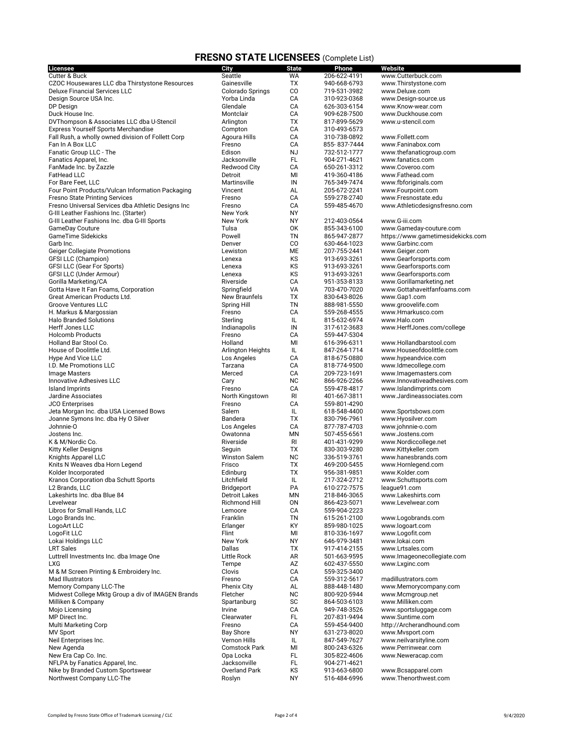| <b>Licensee</b>                                    | City                                | <b>State</b> | Phone                        | Website                                     |
|----------------------------------------------------|-------------------------------------|--------------|------------------------------|---------------------------------------------|
| Cutter & Buck                                      | Seattle                             | WA           | 206-622-4191                 | www.Cutterbuck.com                          |
| CZOC Housewares LLC dba Thirstystone Resources     | Gainesville                         | ТX           | 940-668-6793                 | www.Thirstystone.com                        |
| <b>Deluxe Financial Services LLC</b>               | Colorado Springs                    | CO           | 719-531-3982                 | www.Deluxe.com                              |
| Design Source USA Inc.                             | Yorba Linda                         | CA           | 310-923-0368                 | www.Design-source.us                        |
| DP Design                                          | Glendale                            | CA           | 626-303-6154                 | www.Know-wear.com                           |
| Duck House Inc.                                    | Montclair                           | CA           | 909-628-7500                 | www.Duckhouse.com                           |
| DVThompson & Associates LLC dba U-Stencil          | Arlington                           | TX           | 817-899-5629                 | www.u-stencil.com                           |
| <b>Express Yourself Sports Merchandise</b>         | Compton                             | CA           | 310-493-6573                 |                                             |
| Fall Rush, a wholly owned division of Follett Corp | Agoura Hills                        | CA           | 310-738-0892                 | www.Follett.com                             |
| Fan In A Box LLC                                   | Fresno                              | CA           | 855-837-7444                 | www.Faninabox.com                           |
| Fanatic Group LLC - The                            | Edison                              | <b>NJ</b>    | 732-512-1777                 | www.thefanaticgroup.com                     |
| Fanatics Apparel, Inc.                             | Jacksonville<br><b>Redwood City</b> | FL           | 904-271-4621                 | www.fanatics.com                            |
| FanMade Inc. by Zazzle                             |                                     | CA<br>MI     | 650-261-3312                 | www.Coveroo.com<br>www.Fathead.com          |
| FatHead LLC<br>For Bare Feet, LLC                  | Detroit<br>Martinsville             | IN           | 419-360-4186<br>765-349-7474 | www.fbforiginals.com                        |
| Four Point Products/Vulcan Information Packaging   | Vincent                             | AL           | 205-672-2241                 | www.Fourpoint.com                           |
| <b>Fresno State Printing Services</b>              | Fresno                              | CA           | 559-278-2740                 | www.Fresnostate.edu                         |
| Fresno Universal Services dba Athletic Designs Inc | Fresno                              | CA           | 559-485-4670                 | www.Athleticdesignsfresno.com               |
| G-III Leather Fashions Inc. (Starter)              | <b>New York</b>                     | NY           |                              |                                             |
| G-III Leather Fashions Inc. dba G-III Sports       | New York                            | ΝY           | 212-403-0564                 | www.G-iii.com                               |
| GameDay Couture                                    | Tulsa                               | 0K           | 855-343-6100                 | www.Gameday-couture.com                     |
| GameTime Sidekicks                                 | Powell                              | ΤN           | 865-947-2877                 | https://www.gametimesidekicks.com           |
| Garb Inc.                                          | Denver                              | CO           | 630-464-1023                 | www.Garbinc.com                             |
| <b>Geiger Collegiate Promotions</b>                | Lewiston                            | МE           | 207-755-2441                 | www.Geiger.com                              |
| <b>GFSI LLC (Champion)</b>                         | Lenexa                              | KS           | 913-693-3261                 | www.Gearforsports.com                       |
| GFSI LLC (Gear For Sports)                         | Lenexa                              | KS           | 913-693-3261                 | www.Gearforsports.com                       |
| GFSI LLC (Under Armour)                            | Lenexa                              | KS           | 913-693-3261                 | www.Gearforsports.com                       |
| Gorilla Marketing/CA                               | Riverside                           | CA           | 951-353-8133                 | www.Gorillamarketing.net                    |
| Gotta Have It Fan Foams, Corporation               | Springfield                         | VA           | 703-470-7020                 | www.Gottahaveitfanfoams.com                 |
| Great American Products Ltd.                       | <b>New Braunfels</b>                | TX           | 830-643-8026                 | www.Gap1.com                                |
| <b>Groove Ventures LLC</b>                         | Spring Hill                         | ΤN           | 888-981-5550                 | www.groovelife.com                          |
| H. Markus & Margossian                             | Fresno                              | CA           | 559-268-4555                 | www.Hmarkusco.com                           |
| <b>Halo Branded Solutions</b>                      | Sterling                            | IL           | 815-632-6974                 | www.Halo.com                                |
| Herff Jones LLC                                    | Indianapolis                        | IN           | 317-612-3683                 | www.HerffJones.com/college                  |
| <b>Holcomb Products</b>                            | Fresno                              | CA           | 559-447-5304                 |                                             |
| Holland Bar Stool Co.                              | Holland                             | MI           | 616-396-6311                 | www.Hollandbarstool.com                     |
| House of Doolittle Ltd.                            | Arlington Heights                   | IL           | 847-264-1714                 | www.Houseofdoolittle.com                    |
| Hype And Vice LLC                                  | Los Angeles<br>Tarzana              | CA<br>CA     | 818-675-0880                 | www.hypeandvice.com                         |
| I.D. Me Promotions LLC<br><b>Image Masters</b>     | Merced                              | CA           | 818-774-9500<br>209-723-1691 | www.Idmecollege.com<br>www.lmagemasters.com |
| Innovative Adhesives LLC                           | Cary                                | <b>NC</b>    | 866-926-2266                 | www.Innovativeadhesives.com                 |
| Island Imprints                                    | Fresno                              | CA           | 559-478-4817                 | www.Islandimprints.com                      |
| Jardine Associates                                 | North Kingstown                     | RI           | 401-667-3811                 | www.Jardineassociates.com                   |
| <b>JCO Enterprises</b>                             | Fresno                              | CA           | 559-801-4290                 |                                             |
| Jeta Morgan Inc. dba USA Licensed Bows             | Salem                               | IL           | 618-548-4400                 | www.Sportsbows.com                          |
| Joanne Symons Inc. dba Hy O Silver                 | Bandera                             | ТX           | 830-796-7961                 | www.Hyosilver.com                           |
| Johnnie-O                                          | Los Angeles                         | CA           | 877-787-4703                 | www.johnnie-o.com                           |
| Jostens Inc.                                       | Owatonna                            | MN           | 507-455-6561                 | www.Jostens.com                             |
| K & M/Nordic Co.                                   | Riverside                           | RI           | 401-431-9299                 | www.Nordiccollege.net                       |
| Kitty Keller Designs                               | Seguin                              | ТX           | 830-303-9280                 | www.Kittykeller.com                         |
| Knights Apparel LLC                                | <b>Winston Salem</b>                | <b>NC</b>    | 336-519-3761                 | www.hanesbrands.com                         |
| Knits N Weaves dba Horn Legend                     | Frisco                              | ТX           | 469-200-5455                 | www.Hornlegend.com                          |
| Kolder Incorporated                                | Edinburg                            | <b>TX</b>    | 956-381-9851                 | www.Kolder.com                              |
| Kranos Corporation dba Schutt Sports               | Litchfield                          | IL           | 217-324-2712                 | www.Schuttsports.com                        |
| L2 Brands, LLC                                     | Bridgeport                          | PA           | 610-272-7575                 | league91.com                                |
| Lakeshirts Inc. dba Blue 84                        | <b>Detroit Lakes</b>                | ΜN           | 218-846-3065                 | www.Lakeshirts.com                          |
| Levelwear                                          | Richmond Hill                       | ON           | 866-423-5071                 | www.Levelwear.com                           |
| Libros for Small Hands, LLC                        | Lemoore                             | CA           | 559-904-2223                 |                                             |
| Logo Brands Inc.                                   | Franklin                            | ΤN           | 615-261-2100                 | www.Logobrands.com                          |
| LogoArt LLC                                        | Erlanger                            | KY           | 859-980-1025                 | www.logoart.com                             |
| LogoFit LLC<br>Lokai Holdings LLC                  | Flint<br>New York                   | MI           | 810-336-1697                 | www.Logofit.com                             |
| <b>LRT Sales</b>                                   | Dallas                              | NY<br>ТX     | 646-979-3481<br>917-414-2155 | www.lokai.com<br>www.Lrtsales.com           |
| Luttrell Investments Inc. dba Image One            | Little Rock                         | AR           | 501-663-9595                 | www.Imageonecollegiate.com                  |
| <b>LXG</b>                                         | Tempe                               | AZ           | 602-437-5550                 | www.Lxginc.com                              |
| M & M Screen Printing & Embroidery Inc.            | Clovis                              | CA           | 559-325-3400                 |                                             |
| Mad Illustrators                                   | Fresno                              | CA           | 559-312-5617                 | madillustrators.com                         |
| Memory Company LLC-The                             | Phenix City                         | AL           | 888-448-1480                 | www.Memorycompany.com                       |
| Midwest College Mktg Group a div of IMAGEN Brands  | Fletcher                            | NC           | 800-920-5944                 | www.Mcmgroup.net                            |
| Milliken & Company                                 | Spartanburg                         | SC           | 864-503-6103                 | www.Milliken.com                            |
| Mojo Licensing                                     | Irvine                              | CA           | 949-748-3526                 | www.sportsluggage.com                       |
| MP Direct Inc.                                     | Clearwater                          | FL.          | 207-831-9494                 | www.Suntime.com                             |
| Multi Marketing Corp                               | Fresno                              | CA           | 559-454-9400                 | http://Archerandhound.com                   |
| <b>MV Sport</b>                                    | <b>Bay Shore</b>                    | NΥ           | 631-273-8020                 | www.Mvsport.com                             |
| Neil Enterprises Inc.                              | Vernon Hills                        | IL           | 847-549-7627                 | www.neilvarsityline.com                     |
| New Agenda                                         | Comstock Park                       | MI           | 800-243-6326                 | www.Perrinwear.com                          |
| New Era Cap Co. Inc.                               | Opa Locka                           | FL           | 305-822-4606                 | www.Neweracap.com                           |
| NFLPA by Fanatics Apparel, Inc.                    | Jacksonville                        | FL.          | 904-271-4621                 |                                             |
| Nike by Branded Custom Sportswear                  | Overland Park                       | KS           | 913-663-6800                 | www.Bcsapparel.com                          |
| Northwest Company LLC-The                          | Roslyn                              | NY           | 516-484-6996                 | www.Thenorthwest.com                        |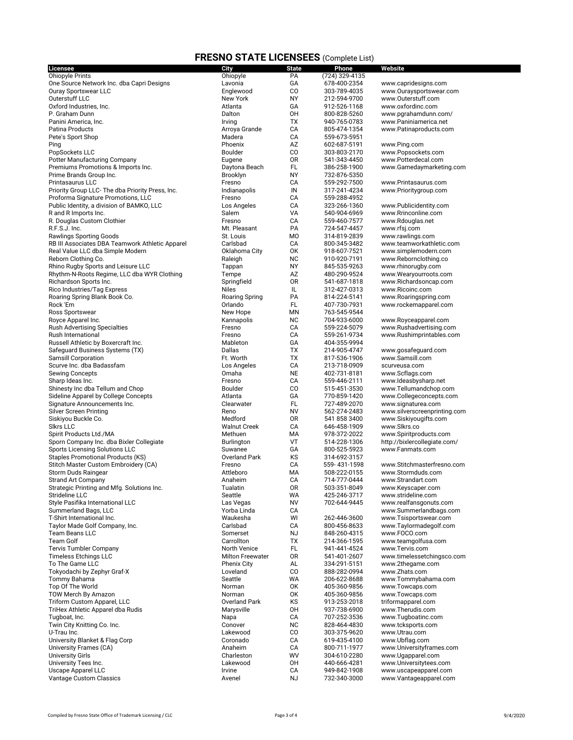| Licensee                                         | <b>City</b>             | <b>State</b>    | Phone                        | Website                                   |
|--------------------------------------------------|-------------------------|-----------------|------------------------------|-------------------------------------------|
| <b>Ohiopyle Prints</b>                           | Ohiopyle                | PA              | (724) 329-4135               |                                           |
| One Source Network Inc. dba Capri Designs        | Lavonia                 | GА              | 678-400-2354                 | www.capridesigns.com                      |
| <b>Ouray Sportswear LLC</b>                      | Englewood               | CO              | 303-789-4035                 | www.Ouraysportswear.com                   |
| Outerstuff LLC                                   | New York                | <b>NY</b>       | 212-594-9700                 | www.Outerstuff.com                        |
| Oxford Industries, Inc.                          | Atlanta                 | GA              | 912-526-1168                 | www.oxfordinc.com                         |
| P. Graham Dunn                                   | Dalton                  | OH              | 800-828-5260                 | www.pgrahamdunn.com/                      |
| Panini America, Inc.                             | Irving                  | ТX              | 940-765-0783                 | www.Paniniamerica.net                     |
| Patina Products                                  | Arroya Grande           | CA              | 805-474-1354                 | www.Patinaproducts.com                    |
| Pete's Sport Shop                                | Madera<br>Phoenix       | CA              | 559-673-5951                 |                                           |
| Ping                                             | Boulder                 | AZ<br>CO        | 602-687-5191<br>303-803-2170 | www.Ping.com                              |
| PopSockets LLC<br>Potter Manufacturing Company   | Eugene                  | <b>OR</b>       | 541-343-4450                 | www.Popsockets.com<br>www.Potterdecal.com |
| Premiums Promotions & Imports Inc.               | Daytona Beach           | FL              | 386-258-1900                 | www.Gamedaymarketing.com                  |
| Prime Brands Group Inc.                          | Brooklyn                | <b>NY</b>       | 732-876-5350                 |                                           |
| Printasaurus LLC                                 | Fresno                  | CA              | 559-292-7500                 | www.Printasaurus.com                      |
| Priority Group LLC- The dba Priority Press, Inc. | Indianapolis            | IN              | 317-241-4234                 | www.Prioritygroup.com                     |
| Proforma Signature Promotions, LLC               | Fresno                  | CА              | 559-288-4952                 |                                           |
| Public Identity, a division of BAMKO, LLC        | Los Angeles             | CA              | 323-266-1360                 | www.Publicidentity.com                    |
| R and R Imports Inc.                             | Salem                   | VA              | 540-904-6969                 | www.Rrinconline.com                       |
| R. Douglas Custom Clothier                       | Fresno                  | CA              | 559-460-7577                 | www.Rdouglas.net                          |
| R.F.S.J. Inc.                                    | Mt. Pleasant            | PA              | 724-547-4457                 | www.rfsj.com                              |
| <b>Rawlings Sporting Goods</b>                   | St. Louis               | M <sub>O</sub>  | 314-819-2839                 | www.rawlings.com                          |
| RB III Associates DBA Teamwork Athletic Apparel  | Carlsbad                | CA              | 800-345-3482                 | www.teamworkathletic.com                  |
| Real Value LLC dba Simple Modern                 | Oklahoma City           | OK              | 918-607-7521                 | www.simplemodern.com                      |
| Reborn Clothing Co.                              | Raleigh                 | <b>NC</b>       | 910-920-7191                 | www.Rebornclothing.co                     |
| Rhino Rugby Sports and Leisure LLC               | Tappan                  | <b>NY</b>       | 845-535-9263                 | www.rhinorugby.com                        |
| Rhythm-N-Roots Regime, LLC dba WYR Clothing      | Tempe                   | AZ              | 480-290-9524                 | www.Wearyourroots.com                     |
| Richardson Sports Inc.                           | Springfield             | 0R              | 541-687-1818                 | www.Richardsoncap.com                     |
| Rico Industries/Tag Express                      | <b>Niles</b>            | IL              | 312-427-0313                 | www.Ricoinc.com                           |
| Roaring Spring Blank Book Co.                    | Roaring Spring          | PA              | 814-224-5141                 | www.Roaringspring.com                     |
| Rock 'Em                                         | Orlando                 | FL              | 407-730-7931                 | www.rockemapparel.com                     |
| Ross Sportswear                                  | New Hope                | <b>MN</b>       | 763-545-9544                 |                                           |
| Royce Apparel Inc.                               | Kannapolis              | <b>NC</b>       | 704-933-6000                 | www.Royceapparel.com                      |
| <b>Rush Advertising Specialties</b>              | Fresno                  | CA              | 559-224-5079                 | www.Rushadvertising.com                   |
| Rush International                               | Fresno                  | CA              | 559-261-9734                 | www.Rushimprintables.com                  |
| Russell Athletic by Boxercraft Inc.              | Mableton                | GA              | 404-355-9994                 |                                           |
| Safeguard Business Systems (TX)                  | Dallas                  | ТX              | 214-905-4747                 | www.gosafeguard.com                       |
| <b>Samsill Corporation</b>                       | Ft. Worth               | ТX              | 817-536-1906                 | www.Samsill.com                           |
| Scurve Inc. dba Badassfam                        | Los Angeles<br>Omaha    | СA<br><b>NE</b> | 213-718-0909<br>402-731-8181 | scurveusa.com                             |
| <b>Sewing Concepts</b><br>Sharp Ideas Inc.       | Fresno                  | CA              | 559-446-2111                 | www.Scflags.com<br>www.Ideasbysharp.net   |
| Shinesty Inc dba Tellum and Chop                 | Boulder                 | CO              | 515-451-3530                 | www.Tellumandchop.com                     |
| Sideline Apparel by College Concepts             | Atlanta                 | GA              | 770-859-1420                 | www.Collegeconcepts.com                   |
| Signature Announcements Inc.                     | Clearwater              | FL              | 727-489-2070                 | www.signaturea.com                        |
| <b>Silver Screen Printing</b>                    | Reno                    | <b>NV</b>       | 562-274-2483                 | www.silverscreenprinting.com              |
| Siskiyou Buckle Co.                              | Medford                 | 0R              | 541 858 3400                 | www.Siskiyougifts.com                     |
| Sikrs LLC                                        | <b>Walnut Creek</b>     | CA              | 646-458-1909                 | www.Slkrs.co                              |
| Spirit Products Ltd./MA                          | Methuen                 | MA              | 978-372-2022                 | www.Spiritproducts.com                    |
| Sporn Company Inc. dba Bixler Collegiate         | Burlington              | VT              | 514-228-1306                 | http://bixlercollegiate.com/              |
| <b>Sports Licensing Solutions LLC</b>            | Suwanee                 | GA              | 800-525-5923                 | www.Fanmats.com                           |
| <b>Staples Promotional Products (KS)</b>         | Overland Park           | ΚS              | 314-692-3157                 |                                           |
| Stitch Master Custom Embroidery (CA)             | Fresno                  | CA              | 559-431-1598                 | www.Stitchmasterfresno.com                |
| Storm Duds Raingear                              | Attleboro               | MA              | 508-222-0155                 | www.Stormduds.com                         |
| <b>Strand Art Company</b>                        | Anaheim                 | CA              | 714-777-0444                 | www.Strandart.com                         |
| Strategic Printing and Mfg. Solutions Inc.       | Tualatin                | 0R              | 503-351-8049                 | www.Keyscaper.com                         |
| Strideline LLC                                   | Seattle                 | WA              | 425-246-3717                 | www.strideline.com                        |
| Style Pasifika International LLC                 | Las Vegas               | <b>NV</b>       | 702-644-9445                 | www.realfansgonuts.com                    |
| Summerland Bags, LLC                             | Yorba Linda             | CA              |                              | www.Summerlandbags.com                    |
| T-Shirt International Inc.                       | Waukesha                | WI              | 262-446-3600                 | www.Tsisportswear.com                     |
| Taylor Made Golf Company, Inc.                   | Carlsbad                | СA              | 800-456-8633                 | www.Taylormadegolf.com                    |
| Team Beans LLC                                   | Somerset                | NJ              | 848-260-4315                 | www.FOCO.com                              |
| <b>Team Golf</b>                                 | Carrollton              | ТX              | 214-366-1595                 | www.teamgolfusa.com                       |
| <b>Tervis Tumbler Company</b>                    | <b>North Venice</b>     | FL              | 941-441-4524                 | www.Tervis.com                            |
| <b>Timeless Etchings LLC</b>                     | <b>Milton Freewater</b> | 0R              | 541-401-2607                 | www.timelessetchingsco.com                |
| To The Game LLC                                  | Phenix City<br>Loveland | AL<br>CO        | 334-291-5151                 | www.2thegame.com<br>www.Zhats.com         |
| Tokyodachi by Zephyr Graf-X<br>Tommy Bahama      | Seattle                 | WA              | 888-282-0994<br>206-622-8688 | www.Tommybahama.com                       |
| Top Of The World                                 | Norman                  | OK              | 405-360-9856                 | www.Towcaps.com                           |
| TOW Merch By Amazon                              | Norman                  | OK              | 405-360-9856                 | www.Towcaps.com                           |
| Triform Custom Apparel, LLC                      | Overland Park           | ΚS              | 913-253-2018                 | triformapparel.com                        |
| TriHex Athletic Apparel dba Rudis                | Marysville              | OH              | 937-738-6900                 | www.Therudis.com                          |
| Tugboat, Inc.                                    | Napa                    | CA              | 707-252-3536                 | www.Tugboatinc.com                        |
| Twin City Knitting Co. Inc.                      | Conover                 | <b>NC</b>       | 828-464-4830                 | www.tcksports.com                         |
| U-Trau Inc.                                      | Lakewood                | CO              | 303-375-9620                 | www.Utrau.com                             |
| University Blanket & Flag Corp                   | Coronado                | CA              | 619-435-4100                 | www.Ubflag.com                            |
| University Frames (CA)                           | Anaheim                 | СA              | 800-711-1977                 | www.Universityframes.com                  |
| <b>University Girls</b>                          | Charleston              | WV              | 304-610-2280                 | www.Ugapparel.com                         |
| University Tees Inc.                             | Lakewood                | OH              | 440-666-4281                 | www.Universitytees.com                    |
| <b>Uscape Apparel LLC</b>                        | Irvine                  | CA              | 949-842-1908                 | www.uscapeapparel.com                     |
| <b>Vantage Custom Classics</b>                   | Avenel                  | NJ              | 732-340-3000                 | www.Vantageapparel.com                    |